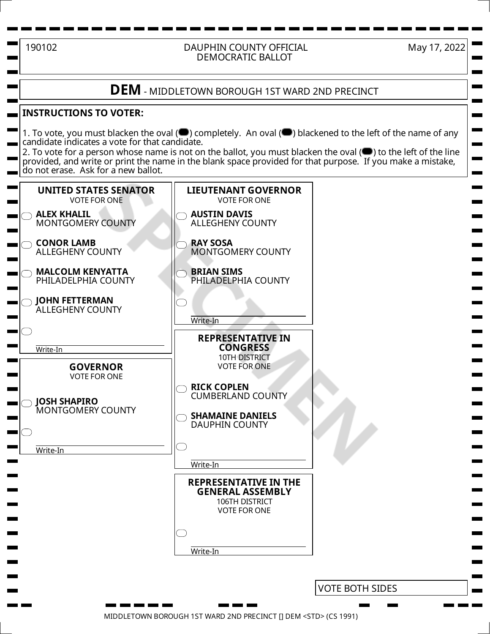## 190102 DAUPHIN COUNTY OFFICIAL DEMOCRATIC BALLOT

May 17, 2022

## **DEM** - MIDDLETOWN BOROUGH 1ST WARD 2ND PRECINCT

## **INSTRUCTIONS TO VOTER:**

1. To vote, you must blacken the oval ( $\bullet$ ) completely. An oval ( $\bullet$ ) blackened to the left of the name of any candidate indicates a vote for that candidate.

2. To vote for a person whose name is not on the ballot, you must blacken the oval  $($ **)** to the left of the line provided, and write or print the name in the blank space provided for that purpose. If you make a mistake, do not erase. Ask for a new ballot.



VOTE BOTH SIDES